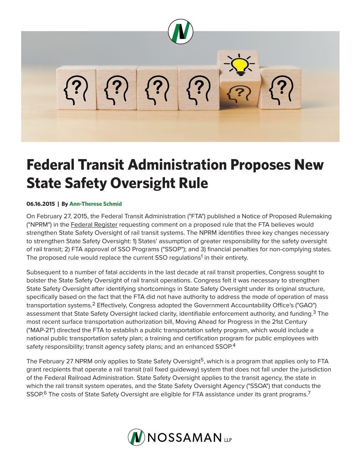

## **Federal Transit Administration Proposes New State Safety Oversight Rule**

## **06.16.2015 | By Ann-Therese Schmid**

On February 27, 2015, the Federal Transit Administration ("FTA") published a Notice of Proposed Rulemaking ("NPRM") in the Federal Register requesting comment on a proposed rule that the FTA believes would strengthen State Safety Oversight of rail transit systems. The NPRM identifies three key changes necessary to strengthen State Safety Oversight: 1) States' assumption of greater responsibility for the safety oversight of rail transit; 2) FTA approval of SSO Programs ("SSOP"); and 3) financial penalties for non-complying states. The proposed rule would replace the current SSO regulations<sup>1</sup> in their entirety.

Subsequent to a number of fatal accidents in the last decade at rail transit properties, Congress sought to bolster the State Safety Oversight of rail transit operations. Congress felt it was necessary to strengthen State Safety Oversight after identifying shortcomings in State Safety Oversight under its original structure, specifically based on the fact that the FTA did not have authority to address the mode of operation of mass transportation systems.2 Effectively, Congress adopted the Government Accountability Office's ("GAO") assessment that State Safety Oversight lacked clarity, identifiable enforcement authority, and funding.<sup>3</sup> The most recent surface transportation authorization bill, Moving Ahead for Progress in the 21st Century ("MAP-21") directed the FTA to establish a public transportation safety program, which would include a national public transportation safety plan; a training and certification program for public employees with safety responsibility; transit agency safety plans; and an enhanced SSOP.<sup>4</sup>

The February 27 NPRM only applies to State Safety Oversight<sup>5</sup>, which is a program that applies only to FTA grant recipients that operate a rail transit (rail fixed guideway) system that does not fall under the jurisdiction of the Federal Railroad Administration. State Safety Oversight applies to the transit agency, the state in which the rail transit system operates, and the State Safety Oversight Agency ("SSOA") that conducts the SSOP.<sup>6</sup> The costs of State Safety Oversight are eligible for FTA assistance under its grant programs.<sup>7</sup>

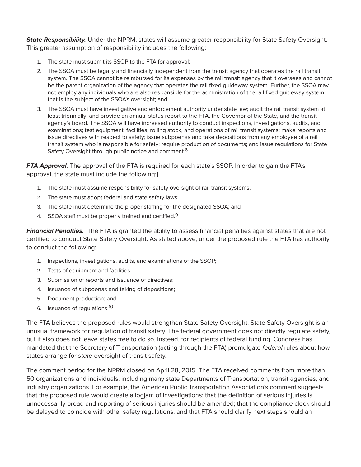*State Responsibility.* Under the NPRM, states will assume greater responsibility for State Safety Oversight. This greater assumption of responsibility includes the following:

- 1. The state must submit its SSOP to the FTA for approval;
- 2. The SSOA must be legally and financially independent from the transit agency that operates the rail transit system. The SSOA cannot be reimbursed for its expenses by the rail transit agency that it oversees and cannot be the parent organization of the agency that operates the rail fixed guideway system. Further, the SSOA may not employ any individuals who are also responsible for the administration of the rail fixed guideway system that is the subject of the SSOA's oversight; and
- 3. The SSOA must have investigative and enforcement authority under state law; audit the rail transit system at least triennially; and provide an annual status report to the FTA, the Governor of the State, and the transit agency's board. The SSOA will have increased authority to conduct inspections, investigations, audits, and examinations; test equipment, facilities, rolling stock, and operations of rail transit systems; make reports and issue directives with respect to safety; issue subpoenas and take depositions from any employee of a rail transit system who is responsible for safety; require production of documents; and issue regulations for State Safety Oversight through public notice and comment.<sup>8</sup>

*FTA Approval.* The approval of the FTA is required for each state's SSOP. In order to gain the FTA's approval, the state must include the following:]

- 1. The state must assume responsibility for safety oversight of rail transit systems;
- 2. The state must adopt federal and state safety laws;
- 3. The state must determine the proper staffing for the designated SSOA; and
- 4. SSOA staff must be properly trained and certified.<sup>9</sup>

*Financial Penalties.* The FTA is granted the ability to assess financial penalties against states that are not certified to conduct State Safety Oversight. As stated above, under the proposed rule the FTA has authority to conduct the following:

- 1. Inspections, investigations, audits, and examinations of the SSOP;
- 2. Tests of equipment and facilities;
- 3. Submission of reports and issuance of directives;
- 4. Issuance of subpoenas and taking of depositions;
- 5. Document production; and
- 6. Issuance of regulations.10

The FTA believes the proposed rules would strengthen State Safety Oversight. State Safety Oversight is an unusual framework for regulation of transit safety. The federal government does not directly regulate safety, but it also does not leave states free to do so. Instead, for recipients of federal funding, Congress has mandated that the Secretary of Transportation (acting through the FTA) promulgate *federal* rules about how states arrange for *state* oversight of transit safety.

The comment period for the NPRM closed on April 28, 2015. The FTA received comments from more than 50 organizations and individuals, including many state Departments of Transportation, transit agencies, and industry organizations. For example, the American Public Transportation Association's comment suggests that the proposed rule would create a logjam of investigations; that the definition of serious injuries is unnecessarily broad and reporting of serious injuries should be amended; that the compliance clock should be delayed to coincide with other safety regulations; and that FTA should clarify next steps should an